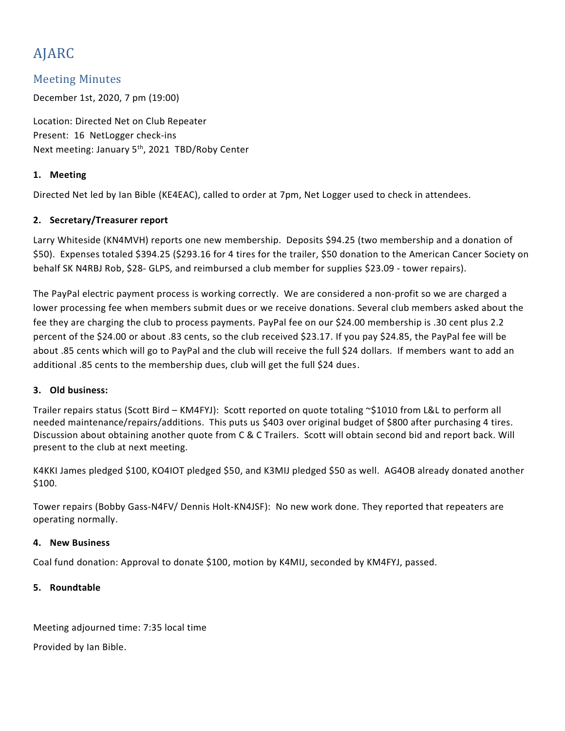# AJARC

## Meeting Minutes

December 1st, 2020, 7 pm (19:00)

Location: Directed Net on Club Repeater Present: 16 NetLogger check-ins Next meeting: January 5<sup>th</sup>, 2021 TBD/Roby Center

#### **1. Meeting**

Directed Net led by Ian Bible (KE4EAC), called to order at 7pm, Net Logger used to check in attendees.

#### **2. Secretary/Treasurer report**

Larry Whiteside (KN4MVH) reports one new membership. Deposits \$94.25 (two membership and a donation of \$50). Expenses totaled \$394.25 (\$293.16 for 4 tires for the trailer, \$50 donation to the American Cancer Society on behalf SK N4RBJ Rob, \$28- GLPS, and reimbursed a club member for supplies \$23.09 - tower repairs).

The PayPal electric payment process is working correctly. We are considered a non-profit so we are charged a lower processing fee when members submit dues or we receive donations. Several club members asked about the fee they are charging the club to process payments. PayPal fee on our \$24.00 membership is .30 cent plus 2.2 percent of the \$24.00 or about .83 cents, so the club received \$23.17. If you pay \$24.85, the PayPal fee will be about .85 cents which will go to PayPal and the club will receive the full \$24 dollars. If members want to add an additional .85 cents to the membership dues, club will get the full \$24 dues.

#### **3. Old business:**

Trailer repairs status (Scott Bird – KM4FYJ): Scott reported on quote totaling ~\$1010 from L&L to perform all needed maintenance/repairs/additions. This puts us \$403 over original budget of \$800 after purchasing 4 tires. Discussion about obtaining another quote from C & C Trailers. Scott will obtain second bid and report back. Will present to the club at next meeting.

K4KKI James pledged \$100, KO4IOT pledged \$50, and K3MIJ pledged \$50 as well. AG4OB already donated another \$100.

Tower repairs (Bobby Gass-N4FV/ Dennis Holt-KN4JSF): No new work done. They reported that repeaters are operating normally.

#### **4. New Business**

Coal fund donation: Approval to donate \$100, motion by K4MIJ, seconded by KM4FYJ, passed.

#### **5. Roundtable**

Meeting adjourned time: 7:35 local time

Provided by Ian Bible.